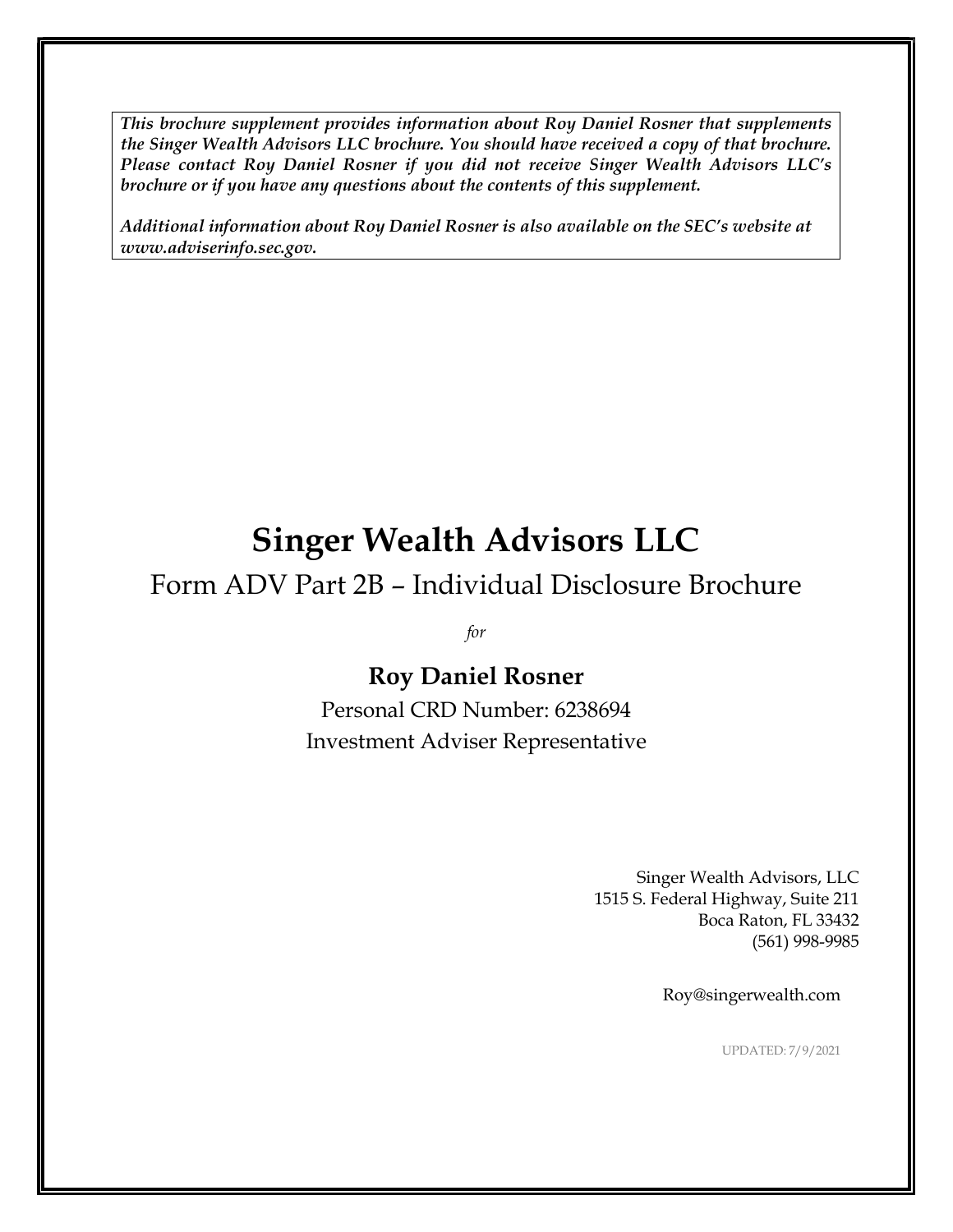*This brochure supplement provides information about Roy Daniel Rosner that supplements the Singer Wealth Advisors LLC brochure. You should have received a copy of that brochure. Please contact Roy Daniel Rosner if you did not receive Singer Wealth Advisors LLC's brochure or if you have any questions about the contents of this supplement.*

*Additional information about Roy Daniel Rosner is also available on the SEC's website at [www.adviserinfo.sec.gov.](http://www.adviserinfo.sec.gov/)*

# **Singer Wealth Advisors LLC**

# Form ADV Part 2B – Individual Disclosure Brochure

*for*

### **Roy Daniel Rosner**

Personal CRD Number: 6238694 Investment Adviser Representative

> Singer Wealth Advisors, LLC 1515 S. Federal Highway, Suite 211 Boca Raton, FL 33432 (561) 998-9985

> > Roy@singerwealth.com

UPDATED: 7/9/2021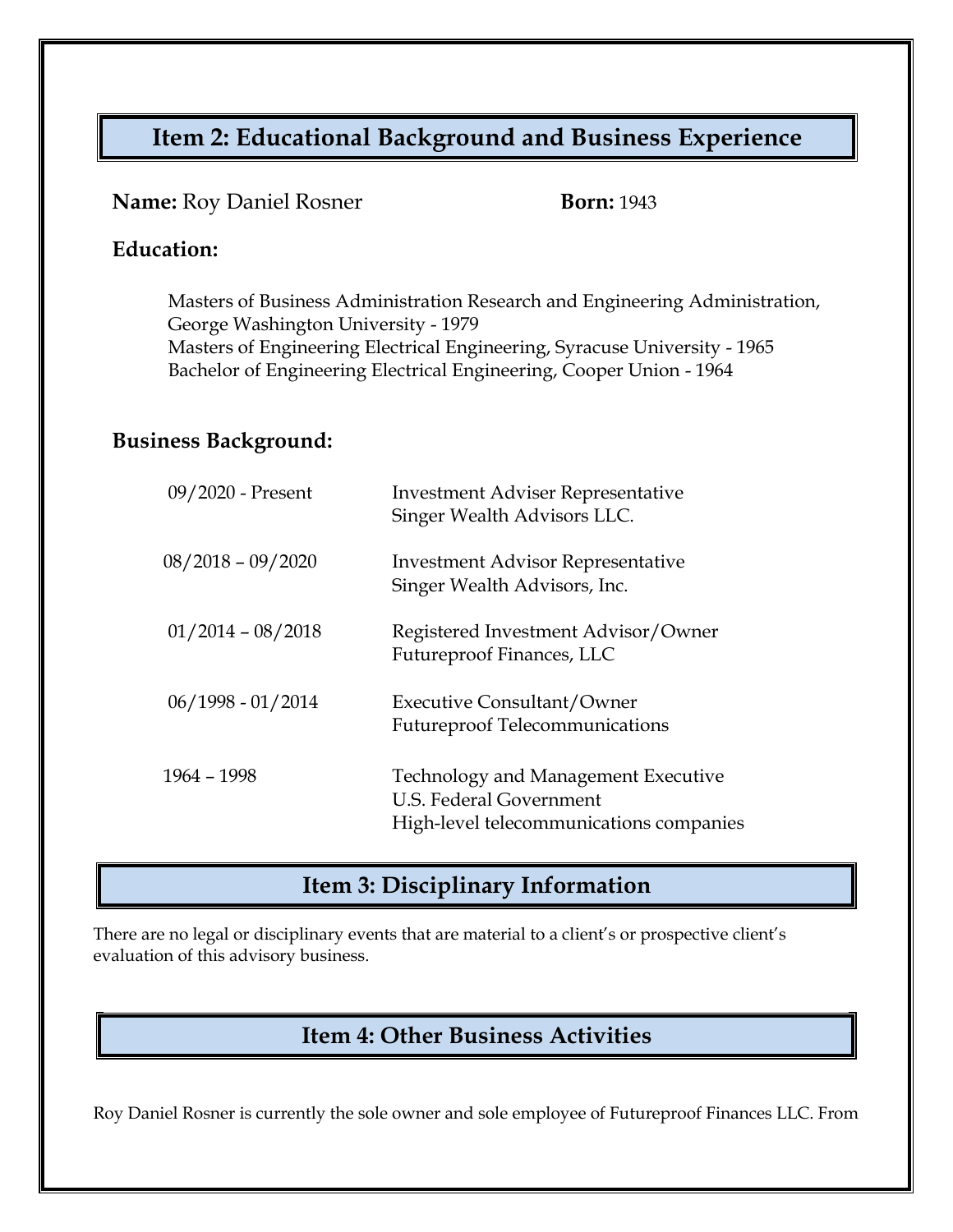# **Item 2: Educational Background and Business Experience**

#### **Name:** Roy Daniel Rosner **Born:** 1943

#### **Education:**

Masters of Business Administration Research and Engineering Administration, George Washington University - 1979 Masters of Engineering Electrical Engineering, Syracuse University - 1965 Bachelor of Engineering Electrical Engineering, Cooper Union - 1964

#### **Business Background:**

| 09/2020 - Present   | <b>Investment Adviser Representative</b><br>Singer Wealth Advisors LLC.                                          |
|---------------------|------------------------------------------------------------------------------------------------------------------|
| $08/2018 - 09/2020$ | <b>Investment Advisor Representative</b><br>Singer Wealth Advisors, Inc.                                         |
| $01/2014 - 08/2018$ | Registered Investment Advisor/Owner<br>Futureproof Finances, LLC                                                 |
| $06/1998 - 01/2014$ | <b>Executive Consultant/Owner</b><br><b>Futureproof Telecommunications</b>                                       |
| 1964 - 1998         | Technology and Management Executive<br><b>U.S. Federal Government</b><br>High-level telecommunications companies |

#### **Item 3: Disciplinary Information**

There are no legal or disciplinary events that are material to a client's or prospective client's evaluation of this advisory business.

# **Item 4: Other Business Activities**

Roy Daniel Rosner is currently the sole owner and sole employee of Futureproof Finances LLC. From